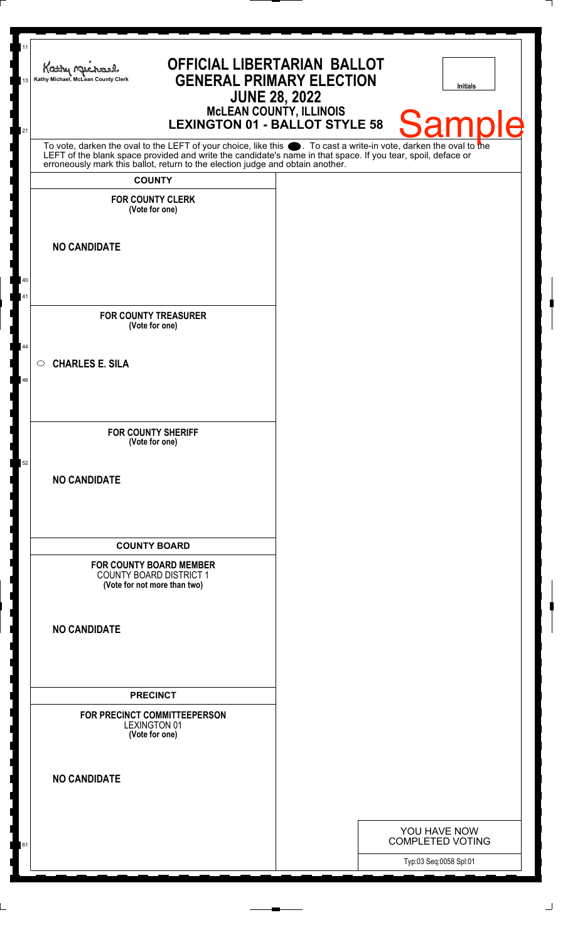| 11<br>Kathy Michael<br>Kathy Michael, McLean County Clerk<br>13<br>21                                                                                                                                                         | OFFICIAL LIBERTARIAN BALLOT<br><b>GENERAL PRIMARY ELECTION</b><br><b>LEXINGTON 01 - BALLOT STYLE 58</b> | <b>JUNE 28, 2022</b><br><b>MCLEAN COUNTY, ILLINOIS</b> |  | <b>Initials</b><br>Samr                           |
|-------------------------------------------------------------------------------------------------------------------------------------------------------------------------------------------------------------------------------|---------------------------------------------------------------------------------------------------------|--------------------------------------------------------|--|---------------------------------------------------|
| To vote, darken the oval to the LEFT of your choice, like this sourcontrant a write-in vote, darken the oval to the LEFT of the blank space provided and write the candidate's name in that space. If you tear, spoil, deface |                                                                                                         |                                                        |  |                                                   |
| <b>COUNTY</b>                                                                                                                                                                                                                 |                                                                                                         |                                                        |  |                                                   |
| <b>FOR COUNTY CLERK</b><br>(Vote for one)                                                                                                                                                                                     |                                                                                                         |                                                        |  |                                                   |
| <b>NO CANDIDATE</b>                                                                                                                                                                                                           |                                                                                                         |                                                        |  |                                                   |
| 40<br>41                                                                                                                                                                                                                      |                                                                                                         |                                                        |  |                                                   |
| <b>FOR COUNTY TREASURER</b><br>(Vote for one)                                                                                                                                                                                 |                                                                                                         |                                                        |  |                                                   |
| 44<br><b>CHARLES E. SILA</b><br>$\circ$<br>46                                                                                                                                                                                 |                                                                                                         |                                                        |  |                                                   |
|                                                                                                                                                                                                                               |                                                                                                         |                                                        |  |                                                   |
| <b>FOR COUNTY SHERIFF</b><br>(Vote for one)                                                                                                                                                                                   |                                                                                                         |                                                        |  |                                                   |
| 52<br><b>NO CANDIDATE</b>                                                                                                                                                                                                     |                                                                                                         |                                                        |  |                                                   |
| <b>COUNTY BOARD</b>                                                                                                                                                                                                           |                                                                                                         |                                                        |  |                                                   |
| <b>FOR COUNTY BOARD MEMBER</b><br><b>COUNTY BOARD DISTRICT 1</b><br>(Vote for not more than two)                                                                                                                              |                                                                                                         |                                                        |  |                                                   |
| <b>NO CANDIDATE</b>                                                                                                                                                                                                           |                                                                                                         |                                                        |  |                                                   |
| <b>PRECINCT</b>                                                                                                                                                                                                               |                                                                                                         |                                                        |  |                                                   |
| FOR PRECINCT COMMITTEEPERSON<br><b>LEXINGTON 01</b><br>(Vote for one)                                                                                                                                                         |                                                                                                         |                                                        |  |                                                   |
| <b>NO CANDIDATE</b>                                                                                                                                                                                                           |                                                                                                         |                                                        |  |                                                   |
|                                                                                                                                                                                                                               |                                                                                                         |                                                        |  | YOU HAVE NOW                                      |
| 61                                                                                                                                                                                                                            |                                                                                                         |                                                        |  | <b>COMPLETED VOTING</b><br>Typ:03 Seq:0058 Spl:01 |